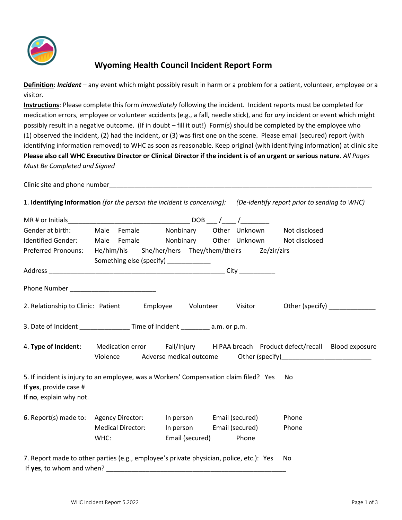

## **Wyoming Health Council Incident Report Form**

**Definition**: *Incident* – any event which might possibly result in harm or a problem for a patient, volunteer, employee or a visitor.

**Instructions**: Please complete this form *immediately* following the incident. Incident reports must be completed for medication errors, employee or volunteer accidents (e.g., a fall, needle stick), and for *any* incident or event which might possibly result in a negative outcome. (If in doubt – fill it out!) Form(s) should be completed by the employee who (1) observed the incident, (2) had the incident, or (3) was first one on the scene. Please email (secured) report (with identifying information removed) to WHC as soon as reasonable. Keep original (with identifying information) at clinic site **Please also call WHC Executive Director or Clinical Director if the incident is of an urgent or serious nature**. *All Pages Must Be Completed and Signed*

Clinic site and phone number

1. **Identifying Information** *(for the person the incident is concerning): (De-identify report prior to sending to WHC)*

|                                                                                                                                            |                                       |                                           | $DOB$ ___ /___ /_________                                                   |                                     |  |  |
|--------------------------------------------------------------------------------------------------------------------------------------------|---------------------------------------|-------------------------------------------|-----------------------------------------------------------------------------|-------------------------------------|--|--|
| Gender at birth:                                                                                                                           | Female<br>Male                        | Nonbinary                                 | Other Unknown                                                               | Not disclosed                       |  |  |
| Identified Gender:                                                                                                                         | Male Female                           |                                           | Nonbinary Other Unknown                                                     | Not disclosed                       |  |  |
| Preferred Pronouns:                                                                                                                        |                                       |                                           | He/him/his She/her/hers They/them/theirs Ze/zir/zirs                        |                                     |  |  |
|                                                                                                                                            | Something else (specify) ____________ |                                           |                                                                             |                                     |  |  |
|                                                                                                                                            |                                       |                                           |                                                                             |                                     |  |  |
| 2. Relationship to Clinic: Patient Employee                                                                                                |                                       | Volunteer                                 |                                                                             | Visitor Other (specify) ___________ |  |  |
| 3. Date of Incident _________________ Time of Incident _________ a.m. or p.m.                                                              |                                       |                                           |                                                                             |                                     |  |  |
| 4. Type of Incident: Medication error Fall/Injury HIPAA breach Product defect/recall Blood exposure                                        |                                       |                                           | Violence Adverse medical outcome Other (specify)___________________________ |                                     |  |  |
| 5. If incident is injury to an employee, was a Workers' Compensation claim filed? Yes<br>If yes, provide case #<br>If no, explain why not. |                                       |                                           |                                                                             | No                                  |  |  |
| 6. Report(s) made to: Agency Director:                                                                                                     | <b>Medical Director:</b><br>WHC:      | In person<br>In person<br>Email (secured) | Email (secured)<br>Email (secured)<br>Phone                                 | Phone<br>Phone                      |  |  |
| 7. Report made to other parties (e.g., employee's private physician, police, etc.): Yes<br>If yes, to whom and when?                       |                                       |                                           |                                                                             | No                                  |  |  |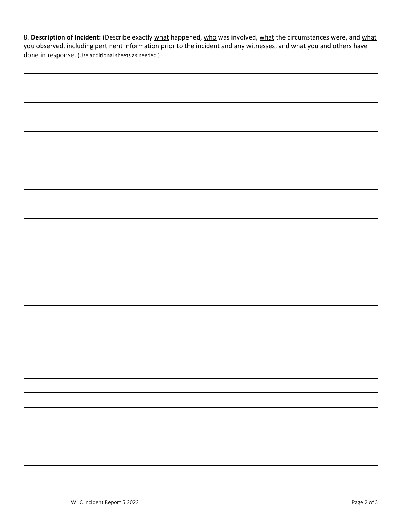8. Description of Incident: (Describe exactly what happened, who was involved, what the circumstances were, and what you observed, including pertinent information prior to the incident and any witnesses, and what you and others have done in response. (Use additional sheets as needed.)